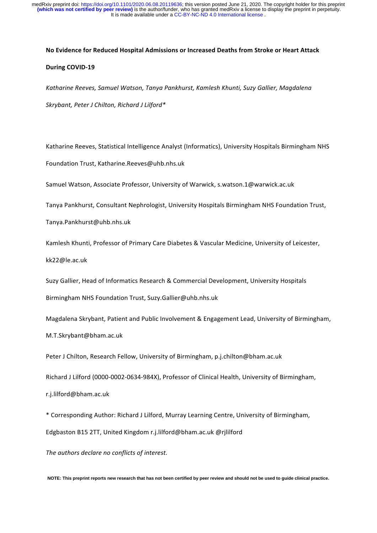It is made available under a [CC-BY-NC-ND 4.0 International license](http://creativecommons.org/licenses/by-nc-nd/4.0/) . medRxiv preprint doi: [https://doi.org/10.1101/2020.06.08.20119636;](https://doi.org/10.1101/2020.06.08.20119636) this version posted June 21, 2020. The copyright holder for this preprint<br>(**which was not certified by peer review)** is the author/funder, who has granted

# **No Evidence for Reduced Hospital Admissions or Increased Deaths from Stroke or Heart Attack**

# **During COVID-19**

*Katharine Reeves, Samuel Watson, Tanya Pankhurst, Kamlesh Khunti, Suzy Gallier, Magdalena Skrybant, Peter J Chilton, Richard J Lilford\**

Katharine Reeves, Statistical Intelligence Analyst (Informatics), University Hospitals Birmingham NHS

Foundation Trust, Katharine.Reeves@uhb.nhs.uk

Samuel Watson, Associate Professor, University of Warwick, s.watson.1@warwick.ac.uk

Tanya Pankhurst, Consultant Nephrologist, University Hospitals Birmingham NHS Foundation Trust,

Tanya.Pankhurst@uhb.nhs.uk

Kamlesh Khunti, Professor of Primary Care Diabetes & Vascular Medicine, University of Leicester, kk22@le.ac.uk

Suzy Gallier, Head of Informatics Research & Commercial Development, University Hospitals Birmingham NHS Foundation Trust, Suzy.Gallier@uhb.nhs.uk

Magdalena Skrybant, Patient and Public Involvement & Engagement Lead, University of Birmingham, M.T.Skrybant@bham.ac.uk 

Peter J Chilton, Research Fellow, University of Birmingham, p.j.chilton@bham.ac.uk

Richard J Lilford (0000-0002-0634-984X), Professor of Clinical Health, University of Birmingham,

r.j.lilford@bham.ac.uk

\* Corresponding Author: Richard J Lilford, Murray Learning Centre, University of Birmingham, 

Edgbaston B15 2TT, United Kingdom r.j.lilford@bham.ac.uk @rjlilford

The authors declare no conflicts of interest.

**NOTE: This preprint reports new research that has not been certified by peer review and should not be used to guide clinical practice.**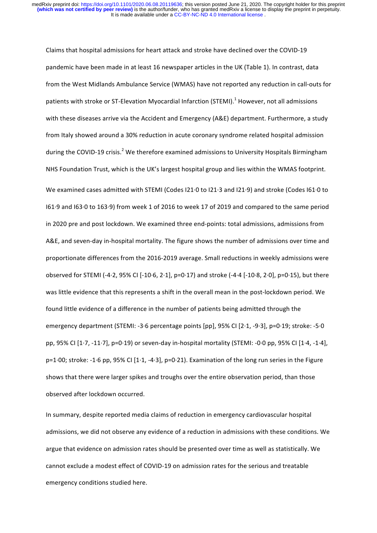Claims that hospital admissions for heart attack and stroke have declined over the COVID-19 pandemic have been made in at least 16 newspaper articles in the UK (Table 1). In contrast, data from the West Midlands Ambulance Service (WMAS) have not reported any reduction in call-outs for patients with stroke or ST-Elevation Myocardial Infarction (STEMI).<sup>1</sup> However, not all admissions with these diseases arrive via the Accident and Emergency (A&E) department. Furthermore, a study from Italy showed around a 30% reduction in acute coronary syndrome related hospital admission during the COVID-19 crisis.<sup>2</sup> We therefore examined admissions to University Hospitals Birmingham NHS Foundation Trust, which is the UK's largest hospital group and lies within the WMAS footprint. We examined cases admitted with STEMI (Codes I21.0 to I21.3 and I21.9) and stroke (Codes I61.0 to I61.9 and I63.0 to 163.9) from week 1 of 2016 to week 17 of 2019 and compared to the same period in 2020 pre and post lockdown. We examined three end-points: total admissions, admissions from A&E, and seven-day in-hospital mortality. The figure shows the number of admissions over time and proportionate differences from the 2016-2019 average. Small reductions in weekly admissions were observed for STEMI (-4·2, 95% CI [-10·6, 2·1], p=0·17) and stroke (-4·4 [-10·8, 2·0], p=0·15), but there was little evidence that this represents a shift in the overall mean in the post-lockdown period. We found little evidence of a difference in the number of patients being admitted through the emergency department (STEMI: -3 $\cdot$ 6 percentage points [pp], 95% CI [2 $\cdot$ 1, -9 $\cdot$ 3], p=0 $\cdot$ 19; stroke: -5 $\cdot$ 0 pp, 95% CI  $[1.7, -11.7]$ , p=0.19) or seven-day in-hospital mortality (STEMI: -0.0 pp, 95% CI  $[1.4, -1.4]$ ,  $p=1.00$ ; stroke: -1.6 pp, 95% CI [1.1, -4.3],  $p=0.21$ ). Examination of the long run series in the Figure shows that there were larger spikes and troughs over the entire observation period, than those observed after lockdown occurred.

In summary, despite reported media claims of reduction in emergency cardiovascular hospital admissions, we did not observe any evidence of a reduction in admissions with these conditions. We argue that evidence on admission rates should be presented over time as well as statistically. We cannot exclude a modest effect of COVID-19 on admission rates for the serious and treatable emergency conditions studied here.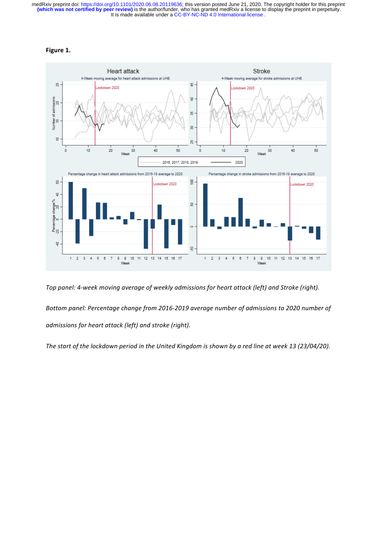It is made available under a [CC-BY-NC-ND 4.0 International license](http://creativecommons.org/licenses/by-nc-nd/4.0/) . medRxiv preprint doi: [https://doi.org/10.1101/2020.06.08.20119636;](https://doi.org/10.1101/2020.06.08.20119636) this version posted June 21, 2020. The copyright holder for this preprint<br>(**which was not certified by peer review)** is the author/funder, who has granted





*Top panel:* 4-week moving average of weekly admissions for heart attack (left) and Stroke (right). Bottom panel: Percentage change from 2016-2019 average number of admissions to 2020 number of *admissions for heart attack (left)* and stroke (right).

The start of the lockdown period in the United Kingdom is shown by a red line at week 13 (23/04/20).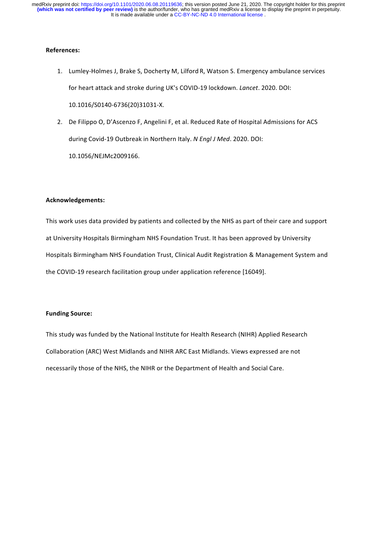It is made available under a [CC-BY-NC-ND 4.0 International license](http://creativecommons.org/licenses/by-nc-nd/4.0/) . medRxiv preprint doi: [https://doi.org/10.1101/2020.06.08.20119636;](https://doi.org/10.1101/2020.06.08.20119636) this version posted June 21, 2020. The copyright holder for this preprint<br>(**which was not certified by peer review)** is the author/funder, who has granted

### **References:**

- 1. Lumley-Holmes J, Brake S, Docherty M, Lilford R, Watson S. Emergency ambulance services for heart attack and stroke during UK's COVID-19 lockdown. *Lancet*. 2020. DOI: 10.1016/S0140-6736(20)31031-X.
- 2. De Filippo O, D'Ascenzo F, Angelini F, et al. Reduced Rate of Hospital Admissions for ACS during Covid-19 Outbreak in Northern Italy. N Engl J Med. 2020. DOI: 10.1056/NEJMc2009166.

## **Acknowledgements:**

This work uses data provided by patients and collected by the NHS as part of their care and support at University Hospitals Birmingham NHS Foundation Trust. It has been approved by University Hospitals Birmingham NHS Foundation Trust, Clinical Audit Registration & Management System and the COVID-19 research facilitation group under application reference [16049].

## **Funding Source:**

This study was funded by the National Institute for Health Research (NIHR) Applied Research Collaboration (ARC) West Midlands and NIHR ARC East Midlands. Views expressed are not necessarily those of the NHS, the NIHR or the Department of Health and Social Care.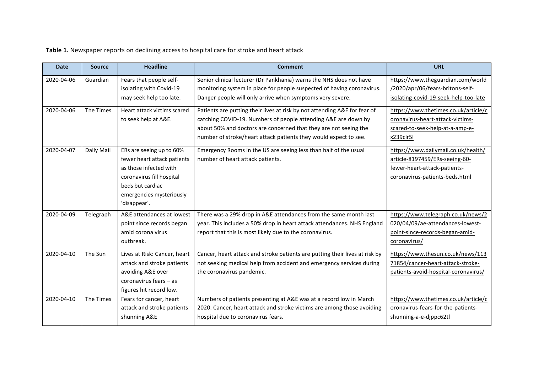Table 1. Newspaper reports on declining access to hospital care for stroke and heart attack

| <b>Date</b> | <b>Source</b> | <b>Headline</b>              | <b>Comment</b>                                                              | URL                                   |
|-------------|---------------|------------------------------|-----------------------------------------------------------------------------|---------------------------------------|
| 2020-04-06  | Guardian      | Fears that people self-      | Senior clinical lecturer (Dr Pankhania) warns the NHS does not have         | https://www.theguardian.com/world     |
|             |               | isolating with Covid-19      | monitoring system in place for people suspected of having coronavirus.      | /2020/apr/06/fears-britons-self-      |
|             |               | may seek help too late.      | Danger people will only arrive when symptoms very severe.                   | isolating-covid-19-seek-help-too-late |
| 2020-04-06  | The Times     | Heart attack victims scared  | Patients are putting their lives at risk by not attending A&E for fear of   | https://www.thetimes.co.uk/article/c  |
|             |               | to seek help at A&E.         | catching COVID-19. Numbers of people attending A&E are down by              | oronavirus-heart-attack-victims-      |
|             |               |                              | about 50% and doctors are concerned that they are not seeing the            | scared-to-seek-help-at-a-amp-e-       |
|             |               |                              | number of stroke/heart attack patients they would expect to see.            | x239clr5l                             |
| 2020-04-07  | Daily Mail    | ERs are seeing up to 60%     | Emergency Rooms in the US are seeing less than half of the usual            | https://www.dailymail.co.uk/health/   |
|             |               | fewer heart attack patients  | number of heart attack patients.                                            | article-8197459/ERs-seeing-60-        |
|             |               | as those infected with       |                                                                             | fewer-heart-attack-patients-          |
|             |               | coronavirus fill hospital    |                                                                             | coronavirus-patients-beds.html        |
|             |               | beds but cardiac             |                                                                             |                                       |
|             |               | emergencies mysteriously     |                                                                             |                                       |
|             |               | 'disappear'.                 |                                                                             |                                       |
| 2020-04-09  | Telegraph     | A&E attendances at lowest    | There was a 29% drop in A&E attendances from the same month last            | https://www.telegraph.co.uk/news/2    |
|             |               | point since records began    | year. This includes a 50% drop in heart attack attendances. NHS England     | 020/04/09/ae-attendances-lowest-      |
|             |               | amid corona virus            | report that this is most likely due to the coronavirus.                     | point-since-records-began-amid-       |
|             |               | outbreak.                    |                                                                             | coronavirus/                          |
| 2020-04-10  | The Sun       | Lives at Risk: Cancer, heart | Cancer, heart attack and stroke patients are putting their lives at risk by | https://www.thesun.co.uk/news/113     |
|             |               | attack and stroke patients   | not seeking medical help from accident and emergency services during        | 71854/cancer-heart-attack-stroke-     |
|             |               | avoiding A&E over            | the coronavirus pandemic.                                                   | patients-avoid-hospital-coronavirus/  |
|             |               | coronavirus fears - as       |                                                                             |                                       |
|             |               | figures hit record low.      |                                                                             |                                       |
| 2020-04-10  | The Times     | Fears for cancer, heart      | Numbers of patients presenting at A&E was at a record low in March          | https://www.thetimes.co.uk/article/c  |
|             |               | attack and stroke patients   | 2020. Cancer, heart attack and stroke victims are among those avoiding      | oronavirus-fears-for-the-patients-    |
|             |               | shunning A&E                 | hospital due to coronavirus fears.                                          | shunning-a-e-djppc62tl                |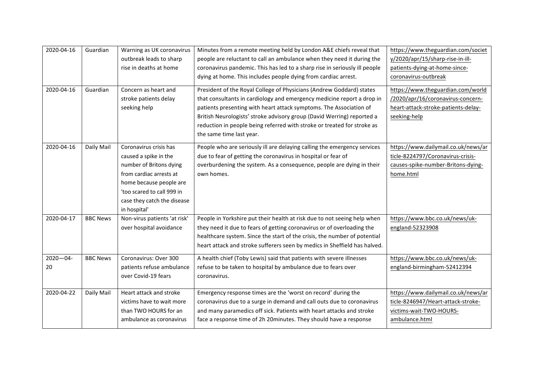| 2020-04-16          | Guardian        | Warning as UK coronavirus<br>outbreak leads to sharp<br>rise in deaths at home                                                                                                                                | Minutes from a remote meeting held by London A&E chiefs reveal that<br>people are reluctant to call an ambulance when they need it during the<br>coronavirus pandemic. This has led to a sharp rise in seriously ill people<br>dying at home. This includes people dying from cardiac arrest.                                                                                                         | https://www.theguardian.com/societ<br>y/2020/apr/15/sharp-rise-in-ill-<br>patients-dying-at-home-since-<br>coronavirus-outbreak |
|---------------------|-----------------|---------------------------------------------------------------------------------------------------------------------------------------------------------------------------------------------------------------|-------------------------------------------------------------------------------------------------------------------------------------------------------------------------------------------------------------------------------------------------------------------------------------------------------------------------------------------------------------------------------------------------------|---------------------------------------------------------------------------------------------------------------------------------|
| 2020-04-16          | Guardian        | Concern as heart and<br>stroke patients delay<br>seeking help                                                                                                                                                 | President of the Royal College of Physicians (Andrew Goddard) states<br>that consultants in cardiology and emergency medicine report a drop in<br>patients presenting with heart attack symptoms. The Association of<br>British Neurologists' stroke advisory group (David Werring) reported a<br>reduction in people being referred with stroke or treated for stroke as<br>the same time last year. | https://www.theguardian.com/world<br>/2020/apr/16/coronavirus-concern-<br>heart-attack-stroke-patients-delay-<br>seeking-help   |
| 2020-04-16          | Daily Mail      | Coronavirus crisis has<br>caused a spike in the<br>number of Britons dying<br>from cardiac arrests at<br>home because people are<br>'too scared to call 999 in<br>case they catch the disease<br>in hospital' | People who are seriously ill are delaying calling the emergency services<br>due to fear of getting the coronavirus in hospital or fear of<br>overburdening the system. As a consequence, people are dying in their<br>own homes.                                                                                                                                                                      | https://www.dailymail.co.uk/news/ar<br>ticle-8224797/Coronavirus-crisis-<br>causes-spike-number-Britons-dying-<br>home.html     |
| 2020-04-17          | <b>BBC News</b> | Non-virus patients 'at risk'<br>over hospital avoidance                                                                                                                                                       | People in Yorkshire put their health at risk due to not seeing help when<br>they need it due to fears of getting coronavirus or of overloading the<br>healthcare system. Since the start of the crisis, the number of potential<br>heart attack and stroke sufferers seen by medics in Sheffield has halved.                                                                                          | https://www.bbc.co.uk/news/uk-<br>england-52323908                                                                              |
| $2020 - 04 -$<br>20 | <b>BBC News</b> | Coronavirus: Over 300<br>patients refuse ambulance<br>over Covid-19 fears                                                                                                                                     | A health chief (Toby Lewis) said that patients with severe illnesses<br>refuse to be taken to hospital by ambulance due to fears over<br>coronavirus.                                                                                                                                                                                                                                                 | https://www.bbc.co.uk/news/uk-<br>england-birmingham-52412394                                                                   |
| 2020-04-22          | Daily Mail      | Heart attack and stroke<br>victims have to wait more<br>than TWO HOURS for an<br>ambulance as coronavirus                                                                                                     | Emergency response times are the 'worst on record' during the<br>coronavirus due to a surge in demand and call outs due to coronavirus<br>and many paramedics off sick. Patients with heart attacks and stroke<br>face a response time of 2h 20minutes. They should have a response                                                                                                                   | https://www.dailymail.co.uk/news/ar<br>ticle-8246947/Heart-attack-stroke-<br>victims-wait-TWO-HOURS-<br>ambulance.html          |